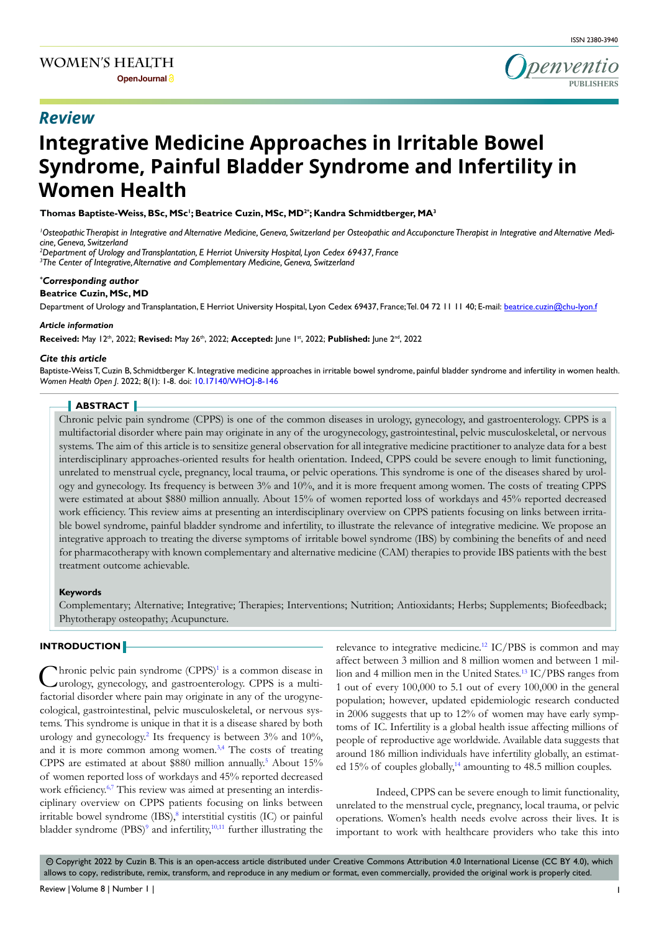

# **Integrative Medicine Approaches in Irritable Bowel Syndrome, Painful Bladder Syndrome and Infertility in Women Health**

**Thomas Baptiste-Weiss, BSc, MSc1 ; Beatrice Cuzin, MSc, MD2\*; Kandra Schmidtberger, MA3**

*1 Osteopathic Therapist in Integrative and Alternative Medicine, Geneva, Switzerland per Osteopathic and Accuponcture Therapist in Integrative and Alternative Medicine, Geneva, Switzerland* 

*2 Department of Urology and Transplantation, E Herriot University Hospital, Lyon Cedex 69437, France*

*3 The Center of Integrative, Alternative and Complementary Medicine, Geneva, Switzerland*

#### *\* Corresponding author*

**Beatrice Cuzin, MSc, MD**

Department of Urology and Transplantation, E Herriot University Hospital, Lyon Cedex 69437, France; Tel. 04 72 11 11 40; E-mail: beatrice.cuzin@chu-lyon.f

#### *Article information*

**Received:** May 12th, 2022; **Revised:** May 26th, 2022; **Accepted:** June 1st, 2022; **Published:** June 2nd, 2022

#### *Cite this article*

Baptiste-Weiss T, Cuzin B, Schmidtberger K. Integrative medicine approaches in irritable bowel syndrome, painful bladder syndrome and infertility in women health. *Women Health Open J*. 2022; 8(1): 1-8. doi: [10.17140/WHOJ-8-146](http://dx.doi.org/10.17140/WHOJ-8-146)

## **ABSTRACT**

Chronic pelvic pain syndrome (CPPS) is one of the common diseases in urology, gynecology, and gastroenterology. CPPS is a multifactorial disorder where pain may originate in any of the urogynecology, gastrointestinal, pelvic musculoskeletal, or nervous systems. The aim of this article is to sensitize general observation for all integrative medicine practitioner to analyze data for a best interdisciplinary approaches-oriented results for health orientation. Indeed, CPPS could be severe enough to limit functioning, unrelated to menstrual cycle, pregnancy, local trauma, or pelvic operations. This syndrome is one of the diseases shared by urology and gynecology. Its frequency is between 3% and 10%, and it is more frequent among women. The costs of treating CPPS were estimated at about \$880 million annually. About 15% of women reported loss of workdays and 45% reported decreased work efficiency. This review aims at presenting an interdisciplinary overview on CPPS patients focusing on links between irritable bowel syndrome, painful bladder syndrome and infertility, to illustrate the relevance of integrative medicine. We propose an integrative approach to treating the diverse symptoms of irritable bowel syndrome (IBS) by combining the benefits of and need for pharmacotherapy with known complementary and alternative medicine (CAM) therapies to provide IBS patients with the best treatment outcome achievable.

#### **Keywords**

Complementary; Alternative; Integrative; Therapies; Interventions; Nutrition; Antioxidants; Herbs; Supplements; Biofeedback; Phytotherapy osteopathy; Acupuncture.

# **INTRODUCTION**

Chronic pelvic pain syndrome (CPPS)<sup>[1](#page-5-0)</sup> is a common disease in urology, gynecology, and gastroenterology. CPPS is a multi-Interior pelvic pain syndrome  $(CPPS)^1$  is a common disease in factorial disorder where pain may originate in any of the urogynecological, gastrointestinal, pelvic musculoskeletal, or nervous systems. This syndrome is unique in that it is a disease shared by both urology and gynecology.<sup>2</sup> Its frequency is between 3% and 10%, and it is more common among women.<sup>3,4</sup> The costs of treating CPPS are estimated at about \$880 million annually.<sup>[5](#page-5-3)</sup> About 15% of women reported loss of workdays and 45% reported decreased work efficiency.<sup>[6,7](#page-5-4)</sup> This review was aimed at presenting an interdisciplinary overview on CPPS patients focusing on links between irritable bowel syndrome  $(IBS)$ ,<sup>[8](#page-6-0)</sup> interstitial cystitis  $(IC)$  or painful bladder syndrome  $(PBS)^9$  and infertility,<sup>[10,11](#page-6-2)</sup> further illustrating the relevance to integrative medicine.<sup>12</sup> IC/PBS is common and may affect between 3 million and 8 million women and between 1 million and 4 million men in the United States.<sup>13</sup> IC/PBS ranges from 1 out of every 100,000 to 5.1 out of every 100,000 in the general population; however, updated epidemiologic research conducted in 2006 suggests that up to 12% of women may have early symptoms of IC. Infertility is a global health issue affecting millions of people of reproductive age worldwide. Available data suggests that around 186 million individuals have infertility globally, an estimat-ed 15% of couples globally,<sup>[14](#page-6-5)</sup> amounting to 48.5 million couples.

Indeed, CPPS can be severe enough to limit functionality, unrelated to the menstrual cycle, pregnancy, local trauma, or pelvic operations. Women's health needs evolve across their lives. It is important to work with healthcare providers who take this into

 Copyright 2022 by Cuzin B. This is an open-access article distributed under Creative Commons Attribution 4.0 International License (CC BY 4.0), which cc allows to copy, redistribute, remix, transform, and reproduce in any medium or format, even commercially, provided the original work is properly cited.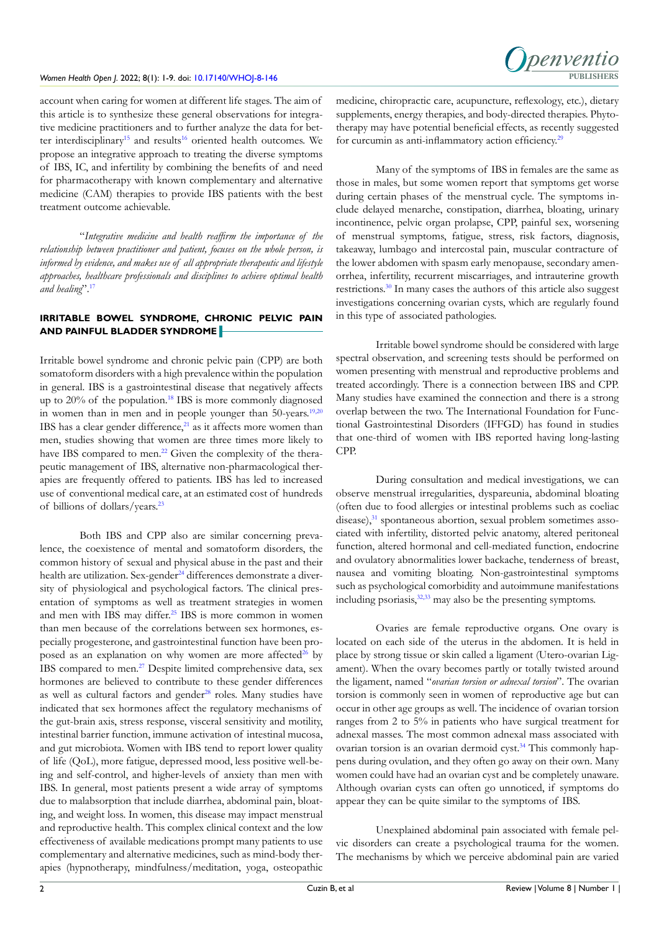account when caring for women at different life stages. The aim of this article is to synthesize these general observations for integrative medicine practitioners and to further analyze the data for bet-ter interdisciplinary<sup>[15](#page-6-6)</sup> and results<sup>[16](#page-6-7)</sup> oriented health outcomes. We propose an integrative approach to treating the diverse symptoms of IBS, IC, and infertility by combining the benefits of and need for pharmacotherapy with known complementary and alternative medicine (CAM) therapies to provide IBS patients with the best treatment outcome achievable.

"*Integrative medicine and health reaffirm the importance of the relationship between practitioner and patient, focuses on the whole person, is informed by evidence, and makes use of all appropriate therapeutic and lifestyle approaches, healthcare professionals and disciplines to achieve optimal health and healing*".[17](#page-6-8)

# **IRRITABLE BOWEL SYNDROME, CHRONIC PELVIC PAIN AND PAINFUL BLADDER SYNDROME**

Irritable bowel syndrome and chronic pelvic pain (CPP) are both somatoform disorders with a high prevalence within the population in general. IBS is a gastrointestinal disease that negatively affects up to  $20\%$  of the population.<sup>18</sup> IBS is more commonly diagnosed in women than in men and in people younger than 50-years.<sup>19,20</sup> IBS has a clear gender difference, $2<sup>1</sup>$  as it affects more women than men, studies showing that women are three times more likely to have IBS compared to men.<sup>[22](#page-6-12)</sup> Given the complexity of the therapeutic management of IBS, alternative non-pharmacological therapies are frequently offered to patients. IBS has led to increased use of conventional medical care, at an estimated cost of hundreds of billions of dollars/years.[23](#page-6-13)

Both IBS and CPP also are similar concerning prevalence, the coexistence of mental and somatoform disorders, the common history of sexual and physical abuse in the past and their health are utilization. Sex-gender<sup>24</sup> differences demonstrate a diversity of physiological and psychological factors. The clinical presentation of symptoms as well as treatment strategies in women and men with IBS may differ.<sup>25</sup> IBS is more common in women than men because of the correlations between sex hormones, especially progesterone, and gastrointestinal function have been proposed as an explanation on why women are more affected<sup>26</sup> by IBS compared to men[.27](#page-6-17) Despite limited comprehensive data, sex hormones are believed to contribute to these gender differences as well as cultural factors and gender<sup>[28](#page-6-18)</sup> roles. Many studies have indicated that sex hormones affect the regulatory mechanisms of the gut-brain axis, stress response, visceral sensitivity and motility, intestinal barrier function, immune activation of intestinal mucosa, and gut microbiota. Women with IBS tend to report lower quality of life (QoL), more fatigue, depressed mood, less positive well-being and self-control, and higher-levels of anxiety than men with IBS. In general, most patients present a wide array of symptoms due to malabsorption that include diarrhea, abdominal pain, bloating, and weight loss. In women, this disease may impact menstrual and reproductive health. This complex clinical context and the low effectiveness of available medications prompt many patients to use complementary and alternative medicines, such as mind-body therapies (hypnotherapy, mindfulness/meditation, yoga, osteopathic

medicine, chiropractic care, acupuncture, reflexology, etc.), dietary supplements, energy therapies, and body-directed therapies. Phytotherapy may have potential beneficial effects, as recently suggested for curcumin as anti-inflammatory action efficiency.<sup>[29](#page-6-19)</sup>

Denventio

Many of the symptoms of IBS in females are the same as those in males, but some women report that symptoms get worse during certain phases of the menstrual cycle. The symptoms include delayed menarche, constipation, diarrhea, bloating, urinary incontinence, pelvic organ prolapse, CPP, painful sex, worsening of menstrual symptoms, fatigue, stress, risk factors, diagnosis, takeaway, lumbago and intercostal pain, muscular contracture of the lower abdomen with spasm early menopause, secondary amenorrhea, infertility, recurrent miscarriages, and intrauterine growth restrictions[.30](#page-6-20) In many cases the authors of this article also suggest investigations concerning ovarian cysts, which are regularly found in this type of associated pathologies.

Irritable bowel syndrome should be considered with large spectral observation, and screening tests should be performed on women presenting with menstrual and reproductive problems and treated accordingly. There is a connection between IBS and CPP. Many studies have examined the connection and there is a strong overlap between the two. The International Foundation for Functional Gastrointestinal Disorders (IFFGD) has found in studies that one-third of women with IBS reported having long-lasting CPP.

During consultation and medical investigations, we can observe menstrual irregularities, dyspareunia, abdominal bloating (often due to food allergies or intestinal problems such as coeliac  $disease)$ , $31$  spontaneous abortion, sexual problem sometimes associated with infertility, distorted pelvic anatomy, altered peritoneal function, altered hormonal and cell-mediated function, endocrine and ovulatory abnormalities lower backache, tenderness of breast, nausea and vomiting bloating. Non-gastrointestinal symptoms such as psychological comorbidity and autoimmune manifestations including psoriasis,<sup>32,33</sup> may also be the presenting symptoms.

Ovaries are female reproductive organs. One ovary is located on each side of the uterus in the abdomen. It is held in place by strong tissue or skin called a ligament (Utero-ovarian Ligament). When the ovary becomes partly or totally twisted around the ligament, named "*ovarian torsion or adnexal torsion*". The ovarian torsion is commonly seen in women of reproductive age but can occur in other age groups as well. The incidence of ovarian torsion ranges from 2 to 5% in patients who have surgical treatment for adnexal masses. The most common adnexal mass associated with ovarian torsion is an ovarian dermoid cyst.<sup>34</sup> This commonly happens during ovulation, and they often go away on their own. Many women could have had an ovarian cyst and be completely unaware. Although ovarian cysts can often go unnoticed, if symptoms do appear they can be quite similar to the symptoms of IBS.

Unexplained abdominal pain associated with female pelvic disorders can create a psychological trauma for the women. The mechanisms by which we perceive abdominal pain are varied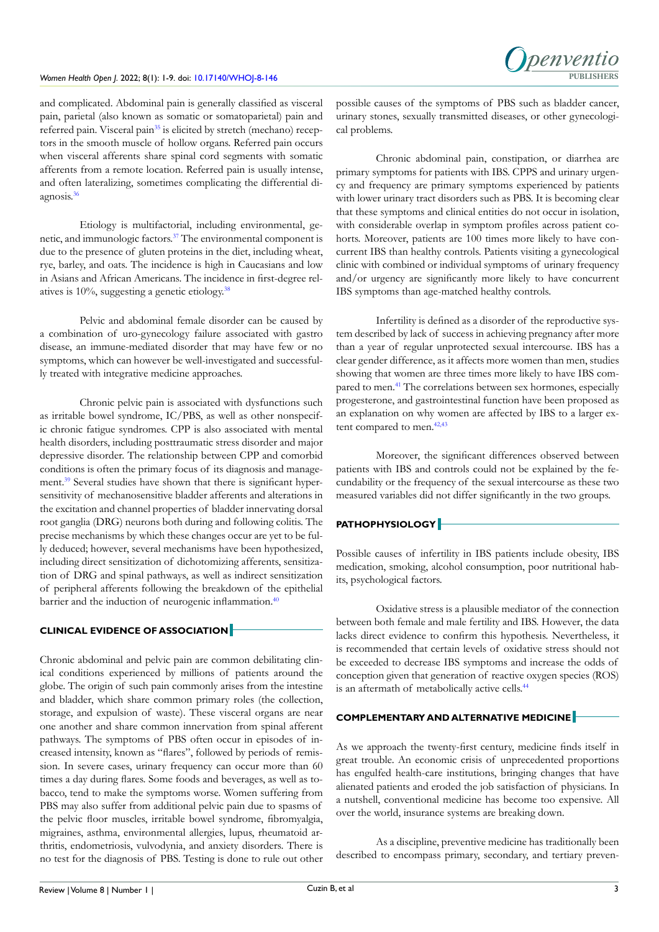

and complicated. Abdominal pain is generally classified as visceral pain, parietal (also known as somatic or somatoparietal) pain and referred pain. Visceral pain<sup>35</sup> is elicited by stretch (mechano) receptors in the smooth muscle of hollow organs. Referred pain occurs when visceral afferents share spinal cord segments with somatic afferents from a remote location. Referred pain is usually intense, and often lateralizing, sometimes complicating the differential diagnosis[.36](#page-7-2)

Etiology is multifactorial, including environmental, genetic, and immunologic factors[.37](#page-7-3) The environmental component is due to the presence of gluten proteins in the diet, including wheat, rye, barley, and oats. The incidence is high in Caucasians and low in Asians and African Americans. The incidence in first-degree relatives is  $10\%$ , suggesting a genetic etiology.<sup>[38](#page-7-4)</sup>

Pelvic and abdominal female disorder can be caused by a combination of uro-gynecology failure associated with gastro disease, an immune-mediated disorder that may have few or no symptoms, which can however be well-investigated and successfully treated with integrative medicine approaches.

Chronic pelvic pain is associated with dysfunctions such as irritable bowel syndrome, IC/PBS, as well as other nonspecific chronic fatigue syndromes. CPP is also associated with mental health disorders, including posttraumatic stress disorder and major depressive disorder. The relationship between CPP and comorbid conditions is often the primary focus of its diagnosis and management[.39](#page-7-5) Several studies have shown that there is significant hypersensitivity of mechanosensitive bladder afferents and alterations in the excitation and channel properties of bladder innervating dorsal root ganglia (DRG) neurons both during and following colitis. The precise mechanisms by which these changes occur are yet to be fully deduced; however, several mechanisms have been hypothesized, including direct sensitization of dichotomizing afferents, sensitization of DRG and spinal pathways, as well as indirect sensitization of peripheral afferents following the breakdown of the epithelial barrier and the induction of neurogenic inflammation.<sup>[40](#page-7-6)</sup>

# **CLINICAL EVIDENCE OF ASSOCIATION**

Chronic abdominal and pelvic pain are common debilitating clinical conditions experienced by millions of patients around the globe. The origin of such pain commonly arises from the intestine and bladder, which share common primary roles (the collection, storage, and expulsion of waste). These visceral organs are near one another and share common innervation from spinal afferent pathways. The symptoms of PBS often occur in episodes of increased intensity, known as "flares", followed by periods of remission. In severe cases, urinary frequency can occur more than 60 times a day during flares. Some foods and beverages, as well as tobacco, tend to make the symptoms worse. Women suffering from PBS may also suffer from additional pelvic pain due to spasms of the pelvic floor muscles, irritable bowel syndrome, fibromyalgia, migraines, asthma, environmental allergies, lupus, rheumatoid arthritis, endometriosis, vulvodynia, and anxiety disorders. There is no test for the diagnosis of PBS. Testing is done to rule out other possible causes of the symptoms of PBS such as bladder cancer, urinary stones, sexually transmitted diseases, or other gynecological problems.

Chronic abdominal pain, constipation, or diarrhea are primary symptoms for patients with IBS. CPPS and urinary urgency and frequency are primary symptoms experienced by patients with lower urinary tract disorders such as PBS. It is becoming clear that these symptoms and clinical entities do not occur in isolation, with considerable overlap in symptom profiles across patient cohorts. Moreover, patients are 100 times more likely to have concurrent IBS than healthy controls. Patients visiting a gynecological clinic with combined or individual symptoms of urinary frequency and/or urgency are significantly more likely to have concurrent IBS symptoms than age-matched healthy controls.

Infertility is defined as a disorder of the reproductive system described by lack of success in achieving pregnancy after more than a year of regular unprotected sexual intercourse. IBS has a clear gender difference, as it affects more women than men, studies showing that women are three times more likely to have IBS compared to men.[41](#page-7-7) The correlations between sex hormones, especially progesterone, and gastrointestinal function have been proposed as an explanation on why women are affected by IBS to a larger extent compared to men.<sup>42,43</sup>

Moreover, the significant differences observed between patients with IBS and controls could not be explained by the fecundability or the frequency of the sexual intercourse as these two measured variables did not differ significantly in the two groups.

## **PATHOPHYSIOLOGY**

Possible causes of infertility in IBS patients include obesity, IBS medication, smoking, alcohol consumption, poor nutritional habits, psychological factors.

Oxidative stress is a plausible mediator of the connection between both female and male fertility and IBS. However, the data lacks direct evidence to confirm this hypothesis. Nevertheless, it is recommended that certain levels of oxidative stress should not be exceeded to decrease IBS symptoms and increase the odds of conception given that generation of reactive oxygen species (ROS) is an aftermath of metabolically active cells.<sup>44</sup>

# **COMPLEMENTARY AND ALTERNATIVE MEDICINE**

As we approach the twenty-first century, medicine finds itself in great trouble. An economic crisis of unprecedented proportions has engulfed health-care institutions, bringing changes that have alienated patients and eroded the job satisfaction of physicians. In a nutshell, conventional medicine has become too expensive. All over the world, insurance systems are breaking down.

As a discipline, preventive medicine has traditionally been described to encompass primary, secondary, and tertiary preven-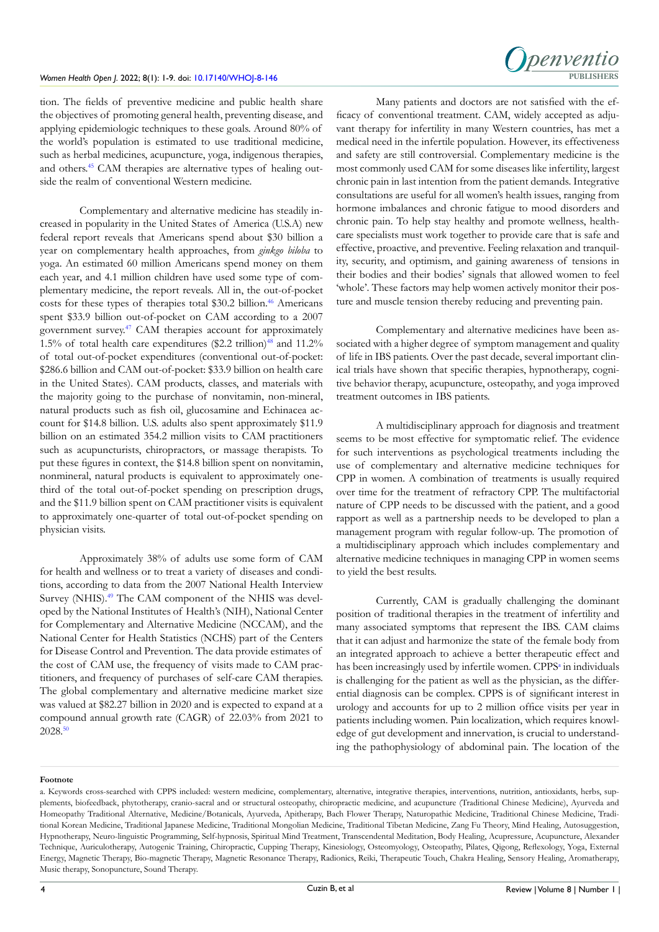

tion. The fields of preventive medicine and public health share the objectives of promoting general health, preventing disease, and applying epidemiologic techniques to these goals. Around 80% of the world's population is estimated to use traditional medicine, such as herbal medicines, acupuncture, yoga, indigenous therapies, and others[.45](#page-7-10) CAM therapies are alternative types of healing outside the realm of conventional Western medicine.

Complementary and alternative medicine has steadily increased in popularity in the United States of America (U.S.A) new federal report reveals that Americans spend about \$30 billion a year on complementary health approaches, from *ginkgo biloba* to yoga. An estimated 60 million Americans spend money on them each year, and 4.1 million children have used some type of complementary medicine, the report reveals. All in, the out-of-pocket costs for these types of therapies total \$30.2 billion.<sup>[46](#page-7-11)</sup> Americans spent \$33.9 billion out-of-pocket on CAM according to a 2007 government survey[.47](#page-7-12) CAM therapies account for approximately 1.5% of total health care expenditures (\$2.2 trillion)<sup>48</sup> and 11.2% of total out-of-pocket expenditures (conventional out-of-pocket: \$286.6 billion and CAM out-of-pocket: \$33.9 billion on health care in the United States). CAM products, classes, and materials with the majority going to the purchase of nonvitamin, non-mineral, natural products such as fish oil, glucosamine and Echinacea account for \$14.8 billion. U.S. adults also spent approximately \$11.9 billion on an estimated 354.2 million visits to CAM practitioners such as acupuncturists, chiropractors, or massage therapists. To put these figures in context, the \$14.8 billion spent on nonvitamin, nonmineral, natural products is equivalent to approximately onethird of the total out-of-pocket spending on prescription drugs, and the \$11.9 billion spent on CAM practitioner visits is equivalent to approximately one-quarter of total out-of-pocket spending on physician visits.

Approximately 38% of adults use some form of CAM for health and wellness or to treat a variety of diseases and conditions, according to data from the 2007 National Health Interview Survey (NHIS).<sup>[49](#page-7-14)</sup> The CAM component of the NHIS was developed by the National Institutes of Health's (NIH), National Center for Complementary and Alternative Medicine (NCCAM), and the National Center for Health Statistics (NCHS) part of the Centers for Disease Control and Prevention. The data provide estimates of the cost of CAM use, the frequency of visits made to CAM practitioners, and frequency of purchases of self-care CAM therapies. The global complementary and alternative medicine market size was valued at \$82.27 billion in 2020 and is expected to expand at a compound annual growth rate (CAGR) of 22.03% from 2021 to 2028.[50](#page-7-15)

Many patients and doctors are not satisfied with the efficacy of conventional treatment. CAM, widely accepted as adjuvant therapy for infertility in many Western countries, has met a medical need in the infertile population. However, its effectiveness and safety are still controversial. Complementary medicine is the most commonly used CAM for some diseases like infertility, largest chronic pain in last intention from the patient demands. Integrative consultations are useful for all women's health issues, ranging from hormone imbalances and chronic fatigue to mood disorders and chronic pain. To help stay healthy and promote wellness, healthcare specialists must work together to provide care that is safe and effective, proactive, and preventive. Feeling relaxation and tranquility, security, and optimism, and gaining awareness of tensions in their bodies and their bodies' signals that allowed women to feel 'whole'. These factors may help women actively monitor their posture and muscle tension thereby reducing and preventing pain.

Complementary and alternative medicines have been associated with a higher degree of symptom management and quality of life in IBS patients. Over the past decade, several important clinical trials have shown that specific therapies, hypnotherapy, cognitive behavior therapy, acupuncture, osteopathy, and yoga improved treatment outcomes in IBS patients.

A multidisciplinary approach for diagnosis and treatment seems to be most effective for symptomatic relief. The evidence for such interventions as psychological treatments including the use of complementary and alternative medicine techniques for CPP in women. A combination of treatments is usually required over time for the treatment of refractory CPP. The multifactorial nature of CPP needs to be discussed with the patient, and a good rapport as well as a partnership needs to be developed to plan a management program with regular follow-up. The promotion of a multidisciplinary approach which includes complementary and alternative medicine techniques in managing CPP in women seems to yield the best results.

Currently, CAM is gradually challenging the dominant position of traditional therapies in the treatment of infertility and many associated symptoms that represent the IBS. CAM claims that it can adjust and harmonize the state of the female body from an integrated approach to achieve a better therapeutic effect and has been increasingly used by infertile women. CPPS<sup>a</sup> in individuals is challenging for the patient as well as the physician, as the differential diagnosis can be complex. CPPS is of significant interest in urology and accounts for up to 2 million office visits per year in patients including women. Pain localization, which requires knowledge of gut development and innervation, is crucial to understanding the pathophysiology of abdominal pain. The location of the

#### **Footnote**

<span id="page-3-0"></span>a. Keywords cross-searched with CPPS included: western medicine, complementary, alternative, integrative therapies, interventions, nutrition, antioxidants, herbs, supplements, biofeedback, phytotherapy, cranio-sacral and or structural osteopathy, chiropractic medicine, and acupuncture (Traditional Chinese Medicine), Ayurveda and Homeopathy Traditional Alternative, Medicine/Botanicals, Ayurveda, Apitherapy, Bach Flower Therapy, Naturopathic Medicine, Traditional Chinese Medicine, Traditional Korean Medicine, Traditional Japanese Medicine, Traditional Mongolian Medicine, Traditional Tibetan Medicine, Zang Fu Theory, Mind Healing, Autosuggestion, Hypnotherapy, Neuro-linguistic Programming, Self-hypnosis, Spiritual Mind Treatment, Transcendental Meditation, Body Healing, Acupressure, Acupuncture, Alexander Technique, Auriculotherapy, Autogenic Training, Chiropractic, Cupping Therapy, Kinesiology, Osteomyology, Osteopathy, Pilates, Qigong, Reflexology, Yoga, External Energy, Magnetic Therapy, Bio-magnetic Therapy, Magnetic Resonance Therapy, Radionics, Reiki, Therapeutic Touch, Chakra Healing, Sensory Healing, Aromatherapy, Music therapy, Sonopuncture, Sound Therapy.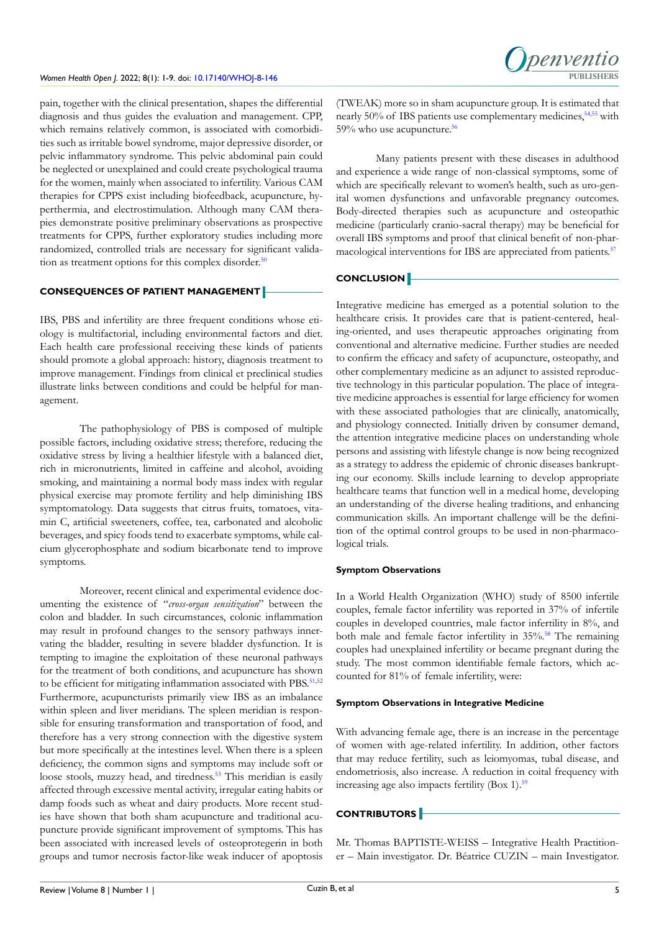pain, together with the clinical presentation, shapes the differential diagnosis and thus guides the evaluation and management. CPP, which remains relatively common, is associated with comorbidities such as irritable bowel syndrome, major depressive disorder, or pelvic inflammatory syndrome. This pelvic abdominal pain could be neglected or unexplained and could create psychological trauma for the women, mainly when associated to infertility. Various CAM therapies for CPPS exist including biofeedback, acupuncture, hyperthermia, and electrostimulation. Although many CAM therapies demonstrate positive preliminary observations as prospective treatments for CPPS, further exploratory studies including more randomized, controlled trials are necessary for significant valida-tion as treatment options for this complex disorder.<sup>[50](#page-7-15)</sup>

# **CONSEQUENCES OF PATIENT MANAGEMENT**

IBS, PBS and infertility are three frequent conditions whose etiology is multifactorial, including environmental factors and diet. Each health care professional receiving these kinds of patients should promote a global approach: history, diagnosis treatment to improve management. Findings from clinical et preclinical studies illustrate links between conditions and could be helpful for management.

The pathophysiology of PBS is composed of multiple possible factors, including oxidative stress; therefore, reducing the oxidative stress by living a healthier lifestyle with a balanced diet, rich in micronutrients, limited in caffeine and alcohol, avoiding smoking, and maintaining a normal body mass index with regular physical exercise may promote fertility and help diminishing IBS symptomatology. Data suggests that citrus fruits, tomatoes, vitamin C, artificial sweeteners, coffee, tea, carbonated and alcoholic beverages, and spicy foods tend to exacerbate symptoms, while calcium glycerophosphate and sodium bicarbonate tend to improve symptoms.

Moreover, recent clinical and experimental evidence documenting the existence of "*cross-organ sensitization*" between the colon and bladder. In such circumstances, colonic inflammation may result in profound changes to the sensory pathways innervating the bladder, resulting in severe bladder dysfunction. It is tempting to imagine the exploitation of these neuronal pathways for the treatment of both conditions, and acupuncture has shown to be efficient for mitigating inflammation associated with PBS.<sup>[51,52](#page-7-16)</sup> Furthermore, acupuncturists primarily view IBS as an imbalance within spleen and liver meridians. The spleen meridian is responsible for ensuring transformation and transportation of food, and therefore has a very strong connection with the digestive system but more specifically at the intestines level. When there is a spleen deficiency, the common signs and symptoms may include soft or loose stools, muzzy head, and tiredness.<sup>53</sup> This meridian is easily affected through excessive mental activity, irregular eating habits or damp foods such as wheat and dairy products. More recent studies have shown that both sham acupuncture and traditional acupuncture provide significant improvement of symptoms. This has been associated with increased levels of osteoprotegerin in both groups and tumor necrosis factor-like weak inducer of apoptosis

(TWEAK) more so in sham acupuncture group. It is estimated that nearly 50% of IBS patients use complementary medicines,  $54,55$  with 59% who use acupuncture[.56](#page-7-19)

**Denvent** 

Many patients present with these diseases in adulthood and experience a wide range of non-classical symptoms, some of which are specifically relevant to women's health, such as uro-genital women dysfunctions and unfavorable pregnancy outcomes. Body-directed therapies such as acupuncture and osteopathic medicine (particularly cranio-sacral therapy) may be beneficial for overall IBS symptoms and proof that clinical benefit of non-pharmacological interventions for IBS are appreciated from patients.<sup>57</sup>

# **CONCLUSION**

Integrative medicine has emerged as a potential solution to the healthcare crisis. It provides care that is patient-centered, healing-oriented, and uses therapeutic approaches originating from conventional and alternative medicine. Further studies are needed to confirm the efficacy and safety of acupuncture, osteopathy, and other complementary medicine as an adjunct to assisted reproductive technology in this particular population. The place of integrative medicine approaches is essential for large efficiency for women with these associated pathologies that are clinically, anatomically, and physiology connected. Initially driven by consumer demand, the attention integrative medicine places on understanding whole persons and assisting with lifestyle change is now being recognized as a strategy to address the epidemic of chronic diseases bankrupting our economy. Skills include learning to develop appropriate healthcare teams that function well in a medical home, developing an understanding of the diverse healing traditions, and enhancing communication skills. An important challenge will be the definition of the optimal control groups to be used in non-pharmacological trials.

## **Symptom Observations**

In a World Health Organization (WHO) study of 8500 infertile couples, female factor infertility was reported in 37% of infertile couples in developed countries, male factor infertility in 8%, and both male and female factor infertility in 35%.<sup>58</sup> The remaining couples had unexplained infertility or became pregnant during the study. The most common identifiable female factors, which accounted for 81% of female infertility, were:

### **Symptom Observations in Integrative Medicine**

With advancing female age, there is an increase in the percentage of women with age-related infertility. In addition, other factors that may reduce fertility, such as leiomyomas, tubal disease, and endometriosis, also increase. A reduction in coital frequency with increasing age also impacts fertility (Box 1).<sup>59</sup>

# **CONTRIBUTORS**

Mr. Thomas BAPTISTE-WEISS – Integrative Health Practitioner – Main investigator. Dr. Béatrice CUZIN – main Investigator.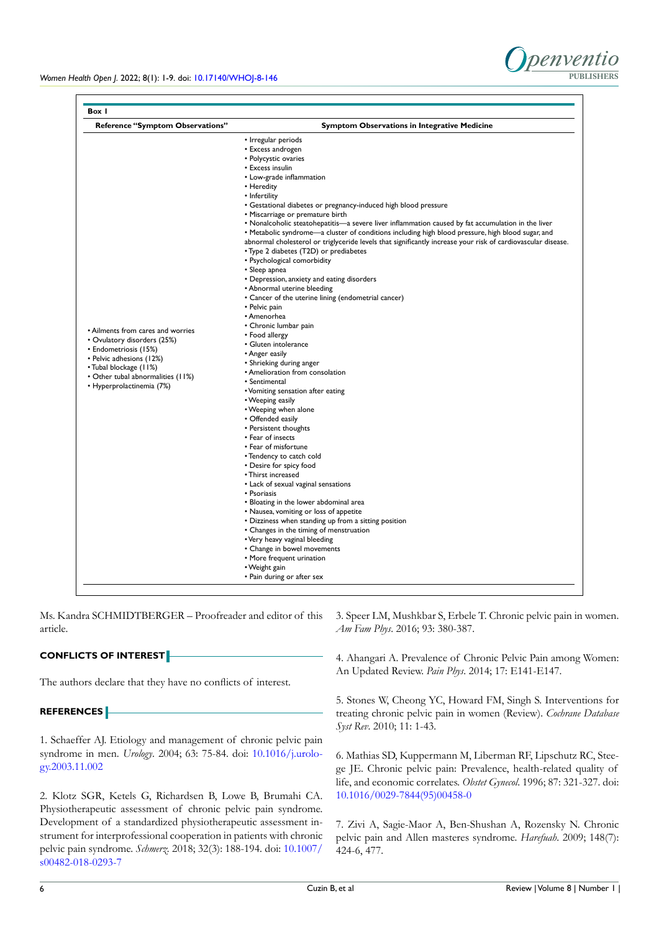

| <b>Reference "Symptom Observations"</b>                                                                                                                                                                           | <b>Symptom Observations in Integrative Medicine</b>                                                          |
|-------------------------------------------------------------------------------------------------------------------------------------------------------------------------------------------------------------------|--------------------------------------------------------------------------------------------------------------|
| • Ailments from cares and worries<br>• Ovulatory disorders (25%)<br>• Endometriosis (15%)<br>• Pelvic adhesions (12%)<br>• Tubal blockage (11%)<br>• Other tubal abnormalities (11%)<br>• Hyperprolactinemia (7%) | • Irregular periods                                                                                          |
|                                                                                                                                                                                                                   | • Excess androgen                                                                                            |
|                                                                                                                                                                                                                   | • Polycystic ovaries                                                                                         |
|                                                                                                                                                                                                                   | • Excess insulin                                                                                             |
|                                                                                                                                                                                                                   | • Low-grade inflammation                                                                                     |
|                                                                                                                                                                                                                   | • Heredity                                                                                                   |
|                                                                                                                                                                                                                   | • Infertility                                                                                                |
|                                                                                                                                                                                                                   | • Gestational diabetes or pregnancy-induced high blood pressure                                              |
|                                                                                                                                                                                                                   | • Miscarriage or premature birth                                                                             |
|                                                                                                                                                                                                                   | • Nonalcoholic steatohepatitis—a severe liver inflammation caused by fat accumulation in the liver           |
|                                                                                                                                                                                                                   | • Metabolic syndrome—a cluster of conditions including high blood pressure, high blood sugar, and            |
|                                                                                                                                                                                                                   | abnormal cholesterol or triglyceride levels that significantly increase your risk of cardiovascular disease. |
|                                                                                                                                                                                                                   | • Type 2 diabetes (T2D) or prediabetes                                                                       |
|                                                                                                                                                                                                                   | • Psychological comorbidity                                                                                  |
|                                                                                                                                                                                                                   | • Sleep apnea                                                                                                |
|                                                                                                                                                                                                                   | • Depression, anxiety and eating disorders                                                                   |
|                                                                                                                                                                                                                   | • Abnormal uterine bleeding                                                                                  |
|                                                                                                                                                                                                                   | • Cancer of the uterine lining (endometrial cancer)                                                          |
|                                                                                                                                                                                                                   | • Pelvic pain                                                                                                |
|                                                                                                                                                                                                                   | • Amenorhea                                                                                                  |
|                                                                                                                                                                                                                   | • Chronic lumbar pain                                                                                        |
|                                                                                                                                                                                                                   | • Food allergy                                                                                               |
|                                                                                                                                                                                                                   | · Gluten intolerance                                                                                         |
|                                                                                                                                                                                                                   | • Anger easily                                                                                               |
|                                                                                                                                                                                                                   | • Shrieking during anger                                                                                     |
|                                                                                                                                                                                                                   | • Amelioration from consolation                                                                              |
|                                                                                                                                                                                                                   | • Sentimental                                                                                                |
|                                                                                                                                                                                                                   | • Vomiting sensation after eating                                                                            |
|                                                                                                                                                                                                                   | • Weeping easily                                                                                             |
|                                                                                                                                                                                                                   | • Weeping when alone                                                                                         |
|                                                                                                                                                                                                                   | • Offended easily                                                                                            |
|                                                                                                                                                                                                                   | • Persistent thoughts                                                                                        |
|                                                                                                                                                                                                                   | • Fear of insects                                                                                            |
|                                                                                                                                                                                                                   | • Fear of misfortune                                                                                         |
|                                                                                                                                                                                                                   | • Tendency to catch cold                                                                                     |
|                                                                                                                                                                                                                   | • Desire for spicy food                                                                                      |
|                                                                                                                                                                                                                   | • Thirst increased                                                                                           |
|                                                                                                                                                                                                                   | • Lack of sexual vaginal sensations                                                                          |
|                                                                                                                                                                                                                   | • Psoriasis                                                                                                  |
|                                                                                                                                                                                                                   | • Bloating in the lower abdominal area                                                                       |
|                                                                                                                                                                                                                   | • Nausea, vomiting or loss of appetite                                                                       |
|                                                                                                                                                                                                                   | • Dizziness when standing up from a sitting position                                                         |
|                                                                                                                                                                                                                   | • Changes in the timing of menstruation                                                                      |
|                                                                                                                                                                                                                   | • Very heavy vaginal bleeding                                                                                |
|                                                                                                                                                                                                                   | • Change in bowel movements                                                                                  |
|                                                                                                                                                                                                                   | • More frequent urination                                                                                    |
|                                                                                                                                                                                                                   | • Weight gain                                                                                                |
|                                                                                                                                                                                                                   | • Pain during or after sex                                                                                   |

Ms. Kandra SCHMIDTBERGER – Proofreader and editor of this article.

# **CONFLICTS OF INTEREST**

The authors declare that they have no conflicts of interest.

## **REFERENCES**

<span id="page-5-0"></span>1. Schaeffer AJ. Etiology and management of chronic pelvic pain syndrome in men. *Urology*. 2004; 63: 75-84. doi: [10.1016/j.urolo](http://doi.org/10.1016/j.urology.2003.11.002)[gy.2003.11.002](http://doi.org/10.1016/j.urology.2003.11.002)

<span id="page-5-1"></span>2. Klotz SGR, Ketels G, Richardsen B, Lowe B, Brumahi CA. Physiotherapeutic assessment of chronic pelvic pain syndrome. Development of a standardized physiotherapeutic assessment instrument for interprofessional cooperation in patients with chronic pelvic pain syndrome. *Schmerz.* 2018; 32(3): 188-194. doi: [10.1007/](http://doi.org/10.1007/s00482-018-0293-7) [s00482-018-0293-7](http://doi.org/10.1007/s00482-018-0293-7)

<span id="page-5-2"></span>3. Speer LM, Mushkbar S, Erbele T. Chronic pelvic pain in women. *Am Fam Phys*. 2016; 93: 380-387.

4. Ahangari A. Prevalence of Chronic Pelvic Pain among Women: An Updated Review. *Pain Phys*. 2014; 17: E141-E147.

<span id="page-5-3"></span>5. Stones W, Cheong YC, Howard FM, Singh S. Interventions for treating chronic pelvic pain in women (Review). *Cochrane Database Syst Rev*. 2010; 11: 1-43.

<span id="page-5-4"></span>6. Mathias SD, Kuppermann M, Liberman RF, Lipschutz RC, Steege JE. Chronic pelvic pain: Prevalence, health-related quality of life, and economic correlates. *Obstet Gynecol*. 1996; 87: 321-327. doi: [10.1016/0029-7844\(95\)00458-0](http://doi.org/10.1016/0029-7844(95)00458-0)

7. Zivi A, Sagie-Maor A, Ben-Shushan A, Rozensky N. Chronic pelvic pain and Allen masteres syndrome. *Harefuah*. 2009; 148(7): 424-6, 477.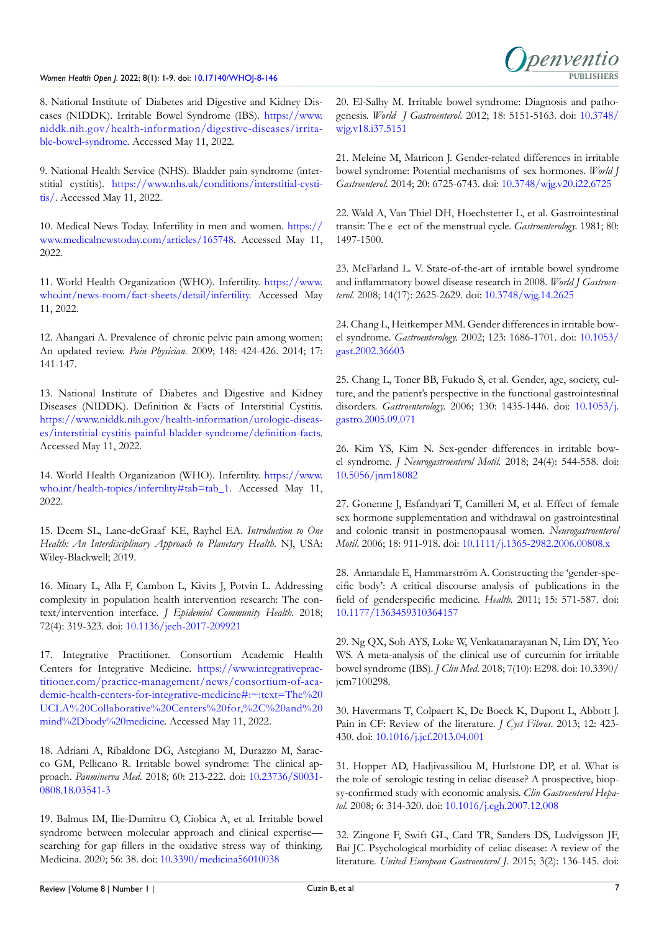

<span id="page-6-0"></span>8. National Institute of Diabetes and Digestive and Kidney Diseases (NIDDK). Irritable Bowel Syndrome (IBS). [https://www.](https://www.niddk.nih.gov/health-information/digestive-diseases/irritable-bowel-syndrome) [niddk.nih.gov/health-information/digestive-diseases/irrita](https://www.niddk.nih.gov/health-information/digestive-diseases/irritable-bowel-syndrome)[ble-bowel-syndrome.](https://www.niddk.nih.gov/health-information/digestive-diseases/irritable-bowel-syndrome) Accessed May 11, 2022.

<span id="page-6-1"></span>9. National Health Service (NHS). Bladder pain syndrome (interstitial cystitis). [https://www.nhs.uk/conditions/interstitial-cysti](https://www.nhs.uk/conditions/interstitial-cystitis/)[tis/.](https://www.nhs.uk/conditions/interstitial-cystitis/) Accessed May 11, 2022.

<span id="page-6-2"></span>10. Medical News Today. Infertility in men and women. [https://](https://www.medicalnewstoday.com/articles/165748) [www.medicalnewstoday.com/articles/165748.](https://www.medicalnewstoday.com/articles/165748) Accessed May 11, 2022.

11. World Health Organization (WHO). Infertility. [https://www.](https://www.who.int/news-room/fact-sheets/detail/infertility) [who.int/news-room/fact-sheets/detail/infertility](https://www.who.int/news-room/fact-sheets/detail/infertility). Accessed May 11, 2022.

<span id="page-6-3"></span>12. Ahangari A. Prevalence of chronic pelvic pain among women: An updated review. *Pain Physician.* 2009; 148: 424-426. 2014; 17: 141-147.

<span id="page-6-4"></span>13. National Institute of Diabetes and Digestive and Kidney Diseases (NIDDK). Definition & Facts of Interstitial Cystitis. [https://www.niddk.nih.gov/health-information/urologic-diseas](https://www.niddk.nih.gov/health-information/urologic-diseases/interstitial-cystitis-painful-bladder-syndrome/definition-facts)[es/interstitial-cystitis-painful-bladder-syndrome/definition-facts](https://www.niddk.nih.gov/health-information/urologic-diseases/interstitial-cystitis-painful-bladder-syndrome/definition-facts). Accessed May 11, 2022.

<span id="page-6-5"></span>14. World Health Organization (WHO). Infertility. [https://www.](https://www.who.int/health-topics/infertility#tab=tab_1) [who.int/health-topics/infertility#tab=tab\\_1](https://www.who.int/health-topics/infertility#tab=tab_1). Accessed May 11, 2022.

<span id="page-6-6"></span>15. Deem SL, Lane-deGraaf KE, Rayhel EA. *Introduction to One Health: An Interdisciplinary Approach to Planetary Health*. NJ, USA: Wiley-Blackwell; 2019.

<span id="page-6-7"></span>16. Minary L, Alla F, Cambon L, Kivits J, Potvin L. Addressing complexity in population health intervention research: The context/intervention interface. *J Epidemiol Community Health.* 2018; 72(4): 319-323. doi: [10.1136/jech-2017-209921](http://doi.org/10.1136/jech-2017-209921)

<span id="page-6-8"></span>17. Integrative Practitioner. Consortium Academic Health Centers for Integrative Medicine. [https://www.integrativeprac](https://www.integrativepractitioner.com/practice-management/news/consortium-of-academic-health-centers-for-integrative-medicine#:~:text=The%20UCLA%20Collaborative%20Centers%20for,%2C%20and%20mind%2Dbody%20medicine)[titioner.com/practice-management/news/consortium-of-aca](https://www.integrativepractitioner.com/practice-management/news/consortium-of-academic-health-centers-for-integrative-medicine#:~:text=The%20UCLA%20Collaborative%20Centers%20for,%2C%20and%20mind%2Dbody%20medicine)[demic-health-centers-for-integrative-medicine#:~:text=The%20](https://www.integrativepractitioner.com/practice-management/news/consortium-of-academic-health-centers-for-integrative-medicine#:~:text=The%20UCLA%20Collaborative%20Centers%20for,%2C%20and%20mind%2Dbody%20medicine) [UCLA%20Collaborative%20Centers%20for,%2C%20and%20](https://www.integrativepractitioner.com/practice-management/news/consortium-of-academic-health-centers-for-integrative-medicine#:~:text=The%20UCLA%20Collaborative%20Centers%20for,%2C%20and%20mind%2Dbody%20medicine) [mind%2Dbody%20medicine](https://www.integrativepractitioner.com/practice-management/news/consortium-of-academic-health-centers-for-integrative-medicine#:~:text=The%20UCLA%20Collaborative%20Centers%20for,%2C%20and%20mind%2Dbody%20medicine). Accessed May 11, 2022.

<span id="page-6-9"></span>18. Adriani A, Ribaldone DG, Astegiano M, Durazzo M, Saracco GM, Pellicano R. Irritable bowel syndrome: The clinical approach. *Panminerva Med*. 2018; 60: 213-222. doi: [10.23736/S0031-](http://doi.org/10.23736/S0031-0808.18.03541-3) [0808.18.03541-3](http://doi.org/10.23736/S0031-0808.18.03541-3)

<span id="page-6-10"></span>19. Balmus IM, Ilie-Dumitru O, Ciobica A, et al. Irritable bowel syndrome between molecular approach and clinical expertisesearching for gap fillers in the oxidative stress way of thinking. Medicina. 2020; 56: 38. doi: [10.3390/medicina56010038](http://doi.org/10.3390/medicina56010038)

20. El-Salhy M. Irritable bowel syndrome: Diagnosis and pathogenesis. *World J Gastroenterol*. 2012; 18: 5151-5163. doi: [10.3748/](http://doi.org/10.3748/wjg.v18.i37.5151) [wjg.v18.i37.5151](http://doi.org/10.3748/wjg.v18.i37.5151)

<span id="page-6-11"></span>21. Meleine M, Matricon J. Gender-related differences in irritable bowel syndrome: Potential mechanisms of sex hormones. *World J Gastroenterol.* 2014; 20: 6725-6743. doi: [10.3748/wjg.v20.i22.6725](http://doi.org/10.3748/wjg.v20.i22.6725)

<span id="page-6-12"></span>22. Wald A, Van Thiel DH, Hoechstetter L, et al. Gastrointestinal transit: The e ect of the menstrual cycle. *Gastroenterology.* 1981; 80: 1497-1500.

<span id="page-6-13"></span>23. McFarland L. V. State-of-the-art of irritable bowel syndrome and inflammatory bowel disease research in 2008. *World J Gastroenterol*. 2008; 14(17): 2625-2629. doi: [10.3748/wjg.14.2625](http://doi.org/10.3748/wjg.14.2625)

<span id="page-6-14"></span>24. Chang L, Heitkemper MM. Gender differences in irritable bowel syndrome. *Gastroenterology.* 2002; 123: 1686-1701. doi: [10.1053/](http://doi.org/10.1053/gast.2002.36603) [gast.2002.36603](http://doi.org/10.1053/gast.2002.36603)

<span id="page-6-15"></span>25. Chang L, Toner BB, Fukudo S, et al. Gender, age, society, culture, and the patient's perspective in the functional gastrointestinal disorders. *Gastroenterology.* 2006; 130: 1435-1446. doi: [10.1053/j.](http://doi.org/10.1053/j.gastro.2005.09.071) [gastro.2005.09.071](http://doi.org/10.1053/j.gastro.2005.09.071)

<span id="page-6-16"></span>26. Kim YS, Kim N. Sex-gender differences in irritable bowel syndrome. *J Neurogastroenterol Motil.* 2018; 24(4): 544-558. doi: [10.5056/jnm18082](http://doi.org/10.5056/jnm18082)

<span id="page-6-17"></span>27. Gonenne J, Esfandyari T, Camilleri M, et al. Effect of female sex hormone supplementation and withdrawal on gastrointestinal and colonic transit in postmenopausal women. *Neurogastroenterol Motil*. 2006; 18: 911-918. doi: [10.1111/j.1365-2982.2006.00808.x](http://doi.org/10.1111/j.1365-2982.2006.00808.x)

<span id="page-6-18"></span>28. Annandale E, Hammarström A. Constructing the 'gender-specific body': A critical discourse analysis of publications in the field of genderspecific medicine. *Health.* 2011; 15: 571-587. doi: [10.1177/1363459310364157](http://doi.org/10.1177/1363459310364157)

<span id="page-6-19"></span>29. Ng QX, Soh AYS, Loke W, Venkatanarayanan N, Lim DY, Yeo WS. A meta-analysis of the clinical use of curcumin for irritable bowel syndrome (IBS). *J Clin Med*. 2018; 7(10): E298. doi: 10.3390/ jcm7100298.

<span id="page-6-20"></span>30. Havermans T, Colpaert K, De Boeck K, Dupont L, Abbott J. Pain in CF: Review of the literature. *J Cyst Fibros*. 2013; 12: 423- 430. doi: [10.1016/j.jcf.2013.04.001](http://doi.org/10.1016/j.jcf.2013.04.001)

<span id="page-6-21"></span>31. Hopper AD, Hadjivassiliou M, Hurlstone DP, et al. What is the role of serologic testing in celiac disease? A prospective, biopsy-confirmed study with economic analysis. *Clin Gastroenterol Hepatol.* 2008; 6: 314-320. doi: [10.1016/j.cgh.2007.12.008](http://doi.org/10.1016/j.cgh.2007.12.008)

<span id="page-6-22"></span>32. Zingone F, Swift GL, Card TR, Sanders DS, Ludvigsson JF, Bai JC. Psychological morbidity of celiac disease: A review of the literature. *United European Gastroenterol J*. 2015; 3(2): 136-145. doi: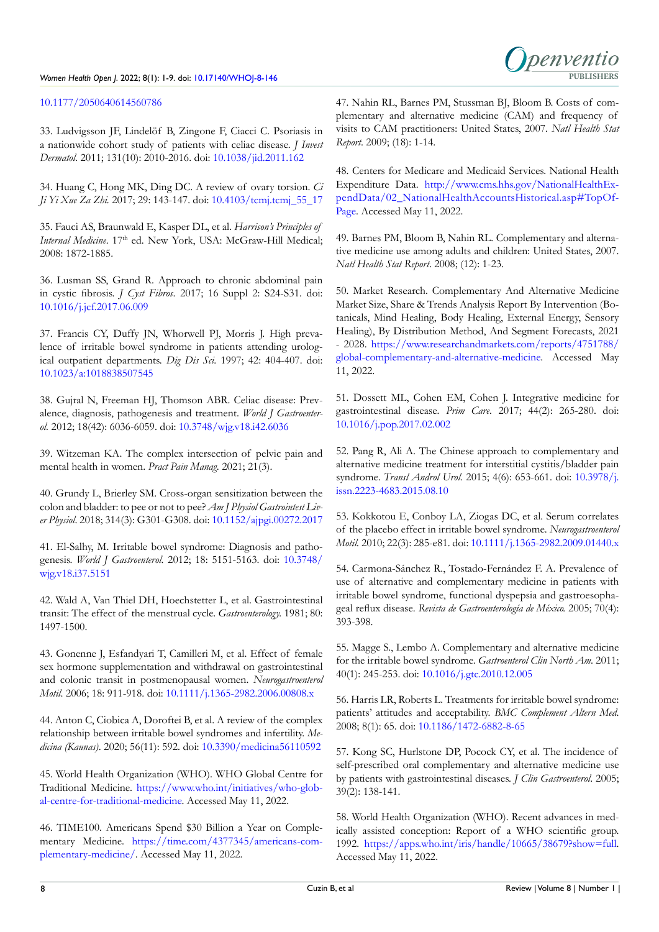

# [10.1177/2050640614560786](http://doi.org/10.1177/2050640614560786)

33. Ludvigsson JF, Lindelöf B, Zingone F, Ciacci C. Psoriasis in a nationwide cohort study of patients with celiac disease. *J Invest Dermatol*. 2011; 131(10): 2010-2016. doi: [10.1038/jid.2011.162](http://doi.org/10.1038/jid.2011.162)

<span id="page-7-0"></span>34. Huang C, Hong MK, Ding DC. A review of ovary torsion. *Ci Ji Yi Xue Za Zhi.* 2017; 29: 143-147. doi: [10.4103/tcmj.tcmj\\_55\\_17](http://doi.org/10.4103/tcmj.tcmj_55_17)

<span id="page-7-1"></span>35. Fauci AS, Braunwald E, Kasper DL, et al. *Harrison's Principles of Internal Medicine*. 17<sup>th</sup> ed. New York, USA: McGraw-Hill Medical; 2008: 1872-1885.

<span id="page-7-2"></span>36. Lusman SS, Grand R. Approach to chronic abdominal pain in cystic fibrosis. *J Cyst Fibros*. 2017; 16 Suppl 2: S24-S31. doi: [10.1016/j.jcf.2017.06.009](http://doi.org/10.1016/j.jcf.2017.06.009)

<span id="page-7-3"></span>37. Francis CY, Duffy JN, Whorwell PJ, Morris J. High prevalence of irritable bowel syndrome in patients attending urological outpatient departments. *Dig Dis Sci*. 1997; 42: 404-407. doi: [10.1023/a:1018838507545](http://doi.org/10.1023/a:1018838507545)

<span id="page-7-4"></span>38. Gujral N, Freeman HJ, Thomson ABR. Celiac disease: Prevalence, diagnosis, pathogenesis and treatment. *World J Gastroenterol.* 2012; 18(42): 6036-6059. doi: [10.3748/wjg.v18.i42.6036](http://doi.org/10.3748/wjg.v18.i42.6036)

<span id="page-7-5"></span>39. Witzeman KA. The complex intersection of pelvic pain and mental health in women. *Pract Pain Manag*. 2021; 21(3).

<span id="page-7-6"></span>40. Grundy L, Brierley SM. Cross-organ sensitization between the colon and bladder: to pee or not to pee? *Am J Physiol Gastrointest Liver Physiol*. 2018; 314(3): G301-G308. doi: [10.1152/ajpgi.00272.2017](http://doi.org/10.1152/ajpgi.00272.2017)

<span id="page-7-7"></span>41. El-Salhy, M. Irritable bowel syndrome: Diagnosis and pathogenesis. *World J Gastroenterol*. 2012; 18: 5151-5163. doi: [10.3748/](http://doi.org/10.3748/wjg.v18.i37.5151) [wjg.v18.i37.5151](http://doi.org/10.3748/wjg.v18.i37.5151)

<span id="page-7-8"></span>42. Wald A, Van Thiel DH, Hoechstetter L, et al. Gastrointestinal transit: The effect of the menstrual cycle. *Gastroenterology.* 1981; 80: 1497-1500.

43. Gonenne J, Esfandyari T, Camilleri M, et al. Effect of female sex hormone supplementation and withdrawal on gastrointestinal and colonic transit in postmenopausal women. *Neurogastroenterol Motil*. 2006; 18: 911-918. doi: [10.1111/j.1365-2982.2006.00808.x](http://doi.org/10.1111/j.1365-2982.2006.00808.x)

<span id="page-7-9"></span>44. Anton C, Ciobica A, Doroftei B, et al. A review of the complex relationship between irritable bowel syndromes and infertility. *Medicina (Kaunas)*. 2020; 56(11): 592. doi: [10.3390/medicina56110592](http://doi.org/10.3390/medicina56110592)

<span id="page-7-10"></span>45. World Health Organization (WHO). WHO Global Centre for Traditional Medicine. [https://www.who.int/initiatives/who-glob](https://www.who.int/initiatives/who-global-centre-for-traditional-medicine)[al-centre-for-traditional-medicine](https://www.who.int/initiatives/who-global-centre-for-traditional-medicine). Accessed May 11, 2022.

<span id="page-7-11"></span>46. TIME100. Americans Spend \$30 Billion a Year on Complementary Medicine. [https://time.com/4377345/americans-com](https://time.com/4377345/americans-complementary-medicine/)[plementary-medicine/](https://time.com/4377345/americans-complementary-medicine/). Accessed May 11, 2022.

<span id="page-7-12"></span>47. Nahin RL, Barnes PM, Stussman BJ, Bloom B. Costs of complementary and alternative medicine (CAM) and frequency of visits to CAM practitioners: United States, 2007. *Natl Health Stat Report*. 2009; (18): 1-14.

<span id="page-7-13"></span>48. Centers for Medicare and Medicaid Services. National Health Expenditure Data. [http://www.cms.hhs.gov/NationalHealthEx](https://www.cms.gov/research-statistics-data-and-systems/statistics-trends-and-reports/nationalhealthexpenddata?redirect=/nationalhealthexpenddata/02_nationalhealthaccountshistorical.asp#TopOfPage)[pendData/02\\_NationalHealthAccountsHistorical.asp#TopOf-](https://www.cms.gov/research-statistics-data-and-systems/statistics-trends-and-reports/nationalhealthexpenddata?redirect=/nationalhealthexpenddata/02_nationalhealthaccountshistorical.asp#TopOfPage)[Page.](https://www.cms.gov/research-statistics-data-and-systems/statistics-trends-and-reports/nationalhealthexpenddata?redirect=/nationalhealthexpenddata/02_nationalhealthaccountshistorical.asp#TopOfPage) Accessed May 11, 2022.

<span id="page-7-14"></span>49. Barnes PM, Bloom B, Nahin RL. Complementary and alternative medicine use among adults and children: United States, 2007. *Natl Health Stat Report*. 2008; (12): 1-23.

<span id="page-7-15"></span>50. Market Research. Complementary And Alternative Medicine Market Size, Share & Trends Analysis Report By Intervention (Botanicals, Mind Healing, Body Healing, External Energy, Sensory Healing), By Distribution Method, And Segment Forecasts, 2021 - 2028. [https://www.researchandmarkets.com/reports/4751788/](https://www.researchandmarkets.com/reports/4751788/global-complementary-and-alternative-medicine) [global-complementary-and-alternative-medicine](https://www.researchandmarkets.com/reports/4751788/global-complementary-and-alternative-medicine). Accessed May 11, 2022.

<span id="page-7-16"></span>51. Dossett ML, Cohen EM, Cohen J. Integrative medicine for gastrointestinal disease. *Prim Care*. 2017; 44(2): 265-280. doi: [10.1016/j.pop.2017.02.002](http://doi.org/10.1016/j.pop.2017.02.002)

52. Pang R, Ali A. The Chinese approach to complementary and alternative medicine treatment for interstitial cystitis/bladder pain syndrome. *Transl Androl Urol.* 2015; 4(6): 653-661. doi: [10.3978/j.](http://doi.org/10.3978/j.issn.2223-4683.2015.08.10) [issn.2223-4683.2015.08.10](http://doi.org/10.3978/j.issn.2223-4683.2015.08.10)

<span id="page-7-17"></span>53. Kokkotou E, Conboy LA, Ziogas DC, et al. Serum correlates of the placebo effect in irritable bowel syndrome. *Neurogastroenterol Motil.* 2010; 22(3): 285-e81. doi: [10.1111/j.1365-2982.2009.01440.x](http://doi.org/10.1111/j.1365-2982.2009.01440.x)

<span id="page-7-18"></span>54. Carmona-Sánchez R., Tostado-Fernández F. A. Prevalence of use of alternative and complementary medicine in patients with irritable bowel syndrome, functional dyspepsia and gastroesophageal reflux disease. *Revista de Gastroenterología de México.* 2005; 70(4): 393-398.

55. Magge S., Lembo A. Complementary and alternative medicine for the irritable bowel syndrome. *Gastroenterol Clin North Am*. 2011; 40(1): 245-253. doi: [10.1016/j.gtc.2010.12.005](http://doi.org/10.1016/j.gtc.2010.12.005)

<span id="page-7-19"></span>56. Harris LR, Roberts L. Treatments for irritable bowel syndrome: patients' attitudes and acceptability. *BMC Complement Altern Med*. 2008; 8(1): 65. doi: [10.1186/1472-6882-8-65](http://doi.org/10.1186/1472-6882-8-65)

<span id="page-7-20"></span>57. Kong SC, Hurlstone DP, Pocock CY, et al. The incidence of self-prescribed oral complementary and alternative medicine use by patients with gastrointestinal diseases. *J Clin Gastroenterol*. 2005; 39(2): 138-141.

<span id="page-7-21"></span>58. World Health Organization (WHO). Recent advances in medically assisted conception: Report of a WHO scientific group. 1992. <https://apps.who.int/iris/handle/10665/38679?show=full>. Accessed May 11, 2022.